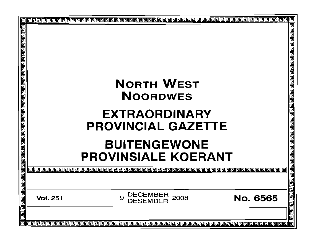|          | <u> बायवागेवागेवागेवागेवागेवागेवागेवागेवागेवाग</u> े<br><b>PROVINCIAL GAZETTE</b>                                                                              |
|----------|----------------------------------------------------------------------------------------------------------------------------------------------------------------|
| DECEMBER | <b>No. 6565</b>                                                                                                                                                |
|          | 间回回<br>o                                                                                                                                                       |
|          | <b>BUITENGEWONE</b><br><b>PROVINSIALE KOERANT</b><br>2008<br>9<br><b>DESEMBER</b><br><u> elebebelebebelebebelebebelebebelebebelebebelebebelebebelebebelebe</u> |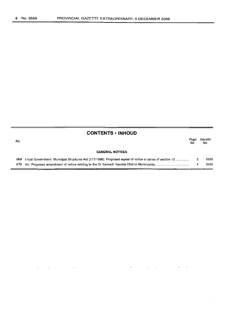| No. |                                                                                                             | Page<br>No. | Gazette<br>No. |
|-----|-------------------------------------------------------------------------------------------------------------|-------------|----------------|
|     | <b>GENERAL NOTICES</b>                                                                                      |             |                |
|     | 669 Local Government: Municipal Structures Act (117/1998): Proposed repeal of notice in terms of section 12 |             | 6565           |
|     |                                                                                                             |             | 6565           |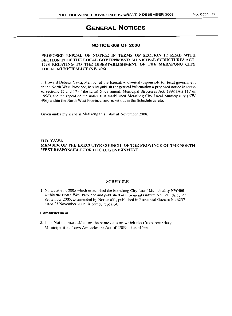# **GENERAL NOTICES**

### **NOTICE 669 OF 2008**

### PROPOSED REPEAL OF NOTICE IN TERMS OF SECTION 12 READ WITH SECTION 17 OF THE LOCAL GOVERNMENT: MUNICIPAL STRUCTURES ACT, 1998 RELATING TO THE DISESTABLISHMENT OF THE MERAFONG CITY LOCAL MUNICIPALITY (NW 406)

I, Howard Debeza Yawa, Member of the Executive Council responsible for local government in the North West Province, hereby publish for general information a proposed notice in terms of sections 12 and 17 of the Local Government: Municipal Structures Act, 1998 (Act 117 of 1998), for the repeal of the notice that established Merafong City Local Municipality (NW 406) within the North West Province, and as set out in the Schedule hereto.

Given under my Hand at Mafikeng this day of November 2008.

#### H.D. YAWA MEMBER OF THE EXECUTIVE COUNCIL OF THE PROVINCE OF THE NORTH WEST RESPONSIBLE FOR LOCAL GOVERNMENT

#### SCHEDULE

1. Notice 509 of 2005 which established the Merafong City Local Municipality NW405 within the North West Province and published in Provincial Gazette No 6217 dated 27 September 2005, as amended by Notice 651, published in Provincial Gazette No 6237 dated 25 November 2005, is hereby repealed.

#### Commencement

2. This Notice takes effect on the same date on which the Cross-boundary Municipalities Laws Amendment Act of 2009 takes effect.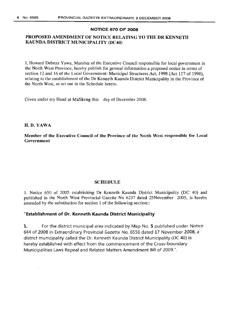### NOTICE 670 OF 2008

## PROPOSED AMENDMENT OF NOTICE RELATING TO THE DR KENNETH KAUNDA DISTRICT MUNICIPALITY (DC40)

I, Howard Debeza Yawa, Member of the Executive Council responsible for local government in the North West Province, hereby publish for general information a proposed notice in terms of section 12 and 16 of the Local Government: Municipal Structures Act, 1998 (Act 117 of 1998), relating to the establishment of the Dr Kenneth Kaunda District Municipality in the Province of the North West, as set out in the Schedule hereto.

Given under my Hand at Mafikeng this day of December 2008.

## H.D. YAWA

Member of the Executive Council of the Province of the North West responsible for Local Government

### SCHEDULE

1. Notice 650 of 2005 establishing Dr Kenneth Kaunda District Municipality (DC 40) and published in the North West Provincial Gazette No 6237 dated 25November 2005, is hereby amended by the substitution for section 1 of the following section::

## "Establishment of Dr. Kenneth Kaunda District Municipality

1. For the district municipal area indicated by Map No. 5 published under Notice 644 of 2008 in Extraordinary Provincial Gazette No. 6556 dated 17 November 2008, a district municipality called the Dr. Kenneth Kaunda District Municipality (DC 40) is hereby established with effect from the commencement of the Cross-boundary Municipalities Laws Repeal and Related Matters Amendment Bill of 2009.".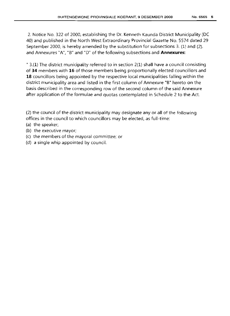2. Notice No. 322 of 2000, establishing the Dr. Kenneth Kaunda District Municipality (DC 40) and published in the North West Extraordinary Provincial Gazette No. 5574 dated 29 September 2000, is hereby amended by the substitution for subsections 3. (1) and (2). and Annexures "A", "B" and "D" of the following subsections and **Annexures:**

" 3.(1) The district municipality referred to in section 2(1) shall have a council consisting of **34** members with **16** of those members being proportionally elected councillors and **18** councillors being appointed by the respective local municipalities falling within the district municipality area and listed in the first column of Annexure "B" hereto on the basis described in the corresponding row of the second column of the said Annexure after application of the formulae and quotas contemplated in Schedule 2 to the Act.

(2) the council of the district municipality may designate any or **all** of the following offices in the council to which councillors may be elected, as full-time:

- (a) the speaker;
- (b) the executive mayor;
- (c) the members of the mayoral committee; or
- (d) a single whip appointed by council.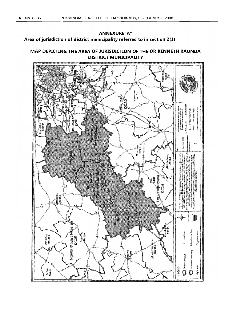# **ANNEXURE"A" Area of jurisdiction of district municipality referred to in section 2(1)**

# **MAP DEPICTING THE AREA OF JURISDICTION OF THE DR KENNETH KAUNDA DISTRICT MUNICIPAUTY**